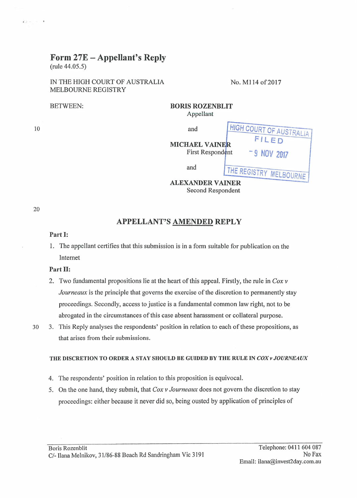# Form 27E- Appellant's Reply

(rule 44.05.5)

IN THE HIGH COURT OF AUSTRALIA No. M114 of 2017 MELBOURNE REGISTRY

BETWEEN:

10

 $(1) = -1$ 

| <b>BORIS ROZENBLIT</b><br>Appellant       |                               |  |
|-------------------------------------------|-------------------------------|--|
| and                                       | <b>HIGH COURT OF AUSTRAL!</b> |  |
| <b>MICHAEL VAINER</b><br>First Respondent | FILED<br>-9 NOV 2017          |  |
| and                                       | THE REGISTRY MELBOURNE        |  |
| <b>ALEXANDER VAINER</b>                   |                               |  |

Second Respondent

20

## APPELLANT'S AMENDED REPLY

#### Part 1:

1. The appellant certifies that this submission is in a form suitable for publication on the Internet

## Part 11:

- 2. Two fundamental propositions lie at the heart of this appeal. Firstly, the rule in *Cox v Journeaux* is the principle that governs the exercise of the discretion to permanently stay proceedings. Secondly, access to justice is a fundamental common law right, not to be abrogated in the circumstances of this case absent harassment or collateral purpose.
- 

30 3. This Reply analyses the respondents' position in relation to each of these propositions, as that arises from their submissions.

## THE DISCRETION TO ORDER A STAY SHOULD BE GUIDED BY THE RULE IN *COX v JOURNEAUX*

- 4. The respondents' position in relation to this proposition is equivocal.
- 5. On the one hand, they submit, that *Cox v Journeaux* does not govern the discretion to stay proceedings: either because it never did so, being ousted by application of principles of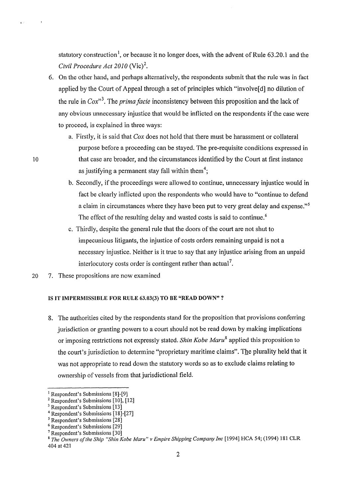statutory construction<sup>1</sup>, or because it no longer does, with the advent of Rule 63.20.1 and the *Civil Procedure Act 2010* (Vic)<sup>2</sup>.

- 6. On the other hand, and perhaps alternatively, the respondents submit that the rule was in fact applied by the Court of Appeal through a set of principles which "involve[ d) no dilution of the rule in *Cox*<sup>3</sup>. The *prima facie* inconsistency between this proposition and the lack of any obvious unnecessary injustice that would be inflicted on the respondents if the case were to proceed, is explained in three ways:
	- a. Firstly, it is said that *Cox* does not hold that there must be harassment or collateral purpose before a proceeding can be stayed. The pre-requisite conditions expressed in that case are broader, and the circumstances identified by the Court at first instance as justifying a permanent stay fall within them<sup>4</sup>;
	- b. Secondly, if the proceedings were allowed to continue, unnecessary injustice would in fact be clearly inflicted upon the respondents who would have to "continue to defend a claim in circumstances where they have been put to very great delay and expense."5 The effect of the resulting delay and wasted costs is said to continue.<sup>6</sup>
	- c. Thirdly, despite the general rule that the doors of the court are not shut to impecunious litigants, the injustice of costs orders remaining unpaid is not a necessary injustice. Neither is it true to say that any injustice arising from an unpaid interlocutory costs order is contingent rather than actual<sup>7</sup>.
- 20 7. These propositions are now examined

10

 $\rightarrow$ 

#### IS IT IMPERMISSIBLE FOR RULE 63.03(3) TO BE "READ DOWN" ?

8. The authorities cited by the respondents stand for the proposition that provisions conferring jurisdiction or granting powers to a court should not be read down by making implications or imposing restrictions not expressly stated. *Shin Kobe Maru*<sup>8</sup> applied this proposition to the court's jurisdiction to determine "proprietary maritime claims". The plurality held that it was not appropriate to read down the statutory words so as to exclude claims relating to ownership of vessels from that jurisdictional field.

<sup>&</sup>lt;sup>1</sup> Respondent's Submissions [8]-[9]<br><sup>2</sup> Respondent's Submissions [10], [12]  $^3$  Respondent's Submissions [13]

<sup>&</sup>lt;sup>4</sup> Respondent's Submissions  $[18]-[27]$ <sup>5</sup> Respondent's Submissions  $[28]$ 

<sup>&</sup>lt;sup>6</sup> Respondent's Submissions [29]<br><sup>7</sup> Respondent's Submissions [30]<br><sup>8</sup> *The Owners of the Ship "Shin Kobe Maru" v Empire Shipping Company Inc* [1994] HCA 54; (1994) 181 CLR 404 at 421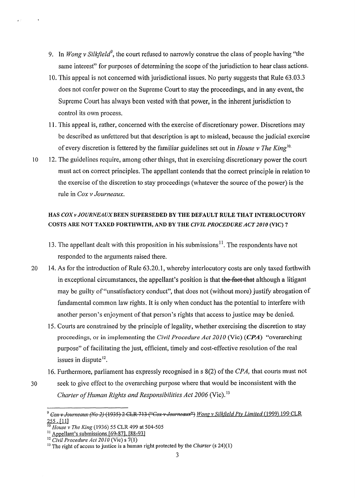- 9. In *Wong v Silkfield<sup>9</sup>*, the court refused to narrowly construe the class of people having "the same interest" for purposes of determining the scope of the jurisdiction to hear class actions.
- 10. This appeal is not concerned with jurisdictional issues. No party suggests that Rule 63.03.3 does not confer power on the Supreme Court to stay the proceedings, and in any event, the Supreme Court has always been vested with that power, in the inherent jurisdiction to control its own process.
- 11. This appeal is, rather, concerned with the exercise of discretionary power. Discretions may be described as unfettered but that description is apt to mislead, because the judicial exercise of every discretion is fettered by the familiar guidelines set out in *House v The King10·*
- 10 12. The guidelines require, among other things, that in exercising discretionary power the court must act on correct principles. The appellant contends that the correct principle in relation to the exercise of the discretion to stay proceedings (whatever the source of the power) is the rule in *Cox v Journeaux.*

## HAS *COX v JOURNEAUX* BEEN SUPERSEDED BY THE DEFAULT RULE THAT INTERLOCUTORY COSTS ARE NOT TAXED FORTHWITH, AND BY THE *CIVIL PROCEDURE ACT 2010* (VIC)?

- 13. The appellant dealt with this proposition in his submissions<sup>11</sup>. The respondents have not responded to the arguments raised there.
- 20 14. As for the introduction of Rule 63.20.1, whereby interlocutory costs are only taxed forthwith in exceptional circumstances, the appellant's position is that the fact that although a litigant may be guilty of "unsatisfactory conduct", that does not (without more) justify abrogation of fundamental common law rights. It is only when conduct has the potential to interfere with another person's enjoyment of that person's rights that access to justice may be denied.
	- 15. Courts are constrained by the principle of legality, whether exercising the discretion to stay proceedings, or in implementing the *Civil Procedure Act 2010* (Vie) (CPA) "overarching purpose" of facilitating the just, efficient, timely and cost-effective resolution of the real issues in dispute  $12$ .
	- 16. Furthermore, parliament has expressly recognised in s 8(2) of the *CPA*, that courts must not
- 30 seek to give effect to the overarching purpose where that would be inconsistent with the *Charter of Human Rights and Responsibilities Act 2006 (Vic).*<sup>13</sup>

<sup>&</sup>lt;sup>9</sup> Cox v Journeaux (No 2) (1935) 2 CLR 713 ("Cox v Journeaux") Wong v Silkfield Pty Limited (1999) 199 CLR 255.[11]

<sup>&</sup>lt;sup>10</sup> *House v The King* (1936) 55 CLR 499 at 504-505<br><sup>11</sup> Appellant's submissions [69-87], [88-93]

<sup>&</sup>lt;sup>12</sup> *Civil Procedure Act 2010* (Vic) s 7(1)<br><sup>13</sup> The right of access to justice is a human right protected by the *Charter* (s 24)(1)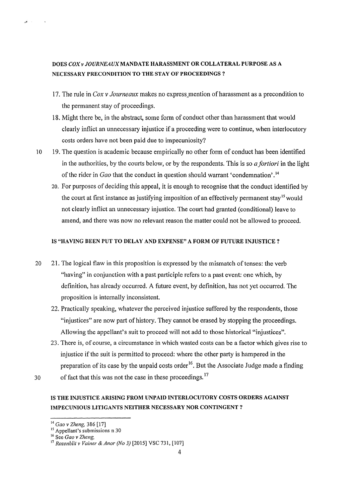## DOES *COX* v *JOURNEAUX* MANDATE HARASSMENT OR COLLATERAL PURPOSE AS A NECESSARY PRECONDITION TO THE STAY OF PROCEEDINGS ?

- 17. The rule in *Cox v Journeaux* makes no express\_mention of harassment as a precondition to the permanent stay of proceedings.
- 18. Might there be, in the abstract, some form of conduct other than harassment that would clearly inflict an unnecessary injustice if a proceeding were to continue, when interlocutory costs orders have not been paid due to impecuniosity?
- 10 19. The question is academic because empirically no other form of conduct has been identified in the authorities, by the courts below, or by the respondents. This is so *a fortiori* in the light of the rider in *Gao* that the conduct in question should warrant 'condemnation'.<sup>14</sup>
	- 20. For purposes of deciding this appeal, it is enough to recognise that the conduct identified by the court at first instance as justifying imposition of an effectively permanent stay<sup>15</sup> would not clearly inflict an unnecessary injustice. The court had granted (conditional) leave to amend, and there was now no relevant reason the matter could not be allowed to proceed.

#### IS "HAVING BEEN PUT TO DELAY AND EXPENSE" A FORM OF FUTURE INJUSTICE?

- 20 21. The logical flaw in this proposition is expressed by the mismatch of tenses: the verb "having" in conjunction with a past participle refers to a past event: one which, by definition, has already occurred. A future event, by definition, has not yet occurred. The proposition is internally inconsistent.
	- 22. Practically speaking, whatever the perceived injustice suffered by the respondents, those "injustices" are now part of history. They cannot be erased by stopping the proceedings. Allowing the appellant's suit to proceed will not add to those historical "injustices".
	- 23. There is, of course, a circumstance in which wasted costs can be a factor which gives rise to injustice if the suit is permitted to proceed: where the other party is hampered in the preparation of its case by the unpaid costs order  $16$ . But the Associate Judge made a finding

30 of fact that this was not the case in these proceedings.  $17$ 

## IS THE INJUSTICE ARISING FROM UNPAID INTERLOCUTORY COSTS ORDERS AGAINST IMPECUNIOUS LITIGANTS NEITHER NECESSARY NOR CONTINGENT?

<sup>&</sup>lt;sup>14</sup> *Gao v Zheng,* 386 [17]<br><sup>15</sup> Appellant's submissions n 30<br><sup>16</sup> See *Gao v Zheng*,

<sup>17</sup>*Rozenblit* v *Vainer* & *Anor (No 3)* [2015] VSC 731, [107]